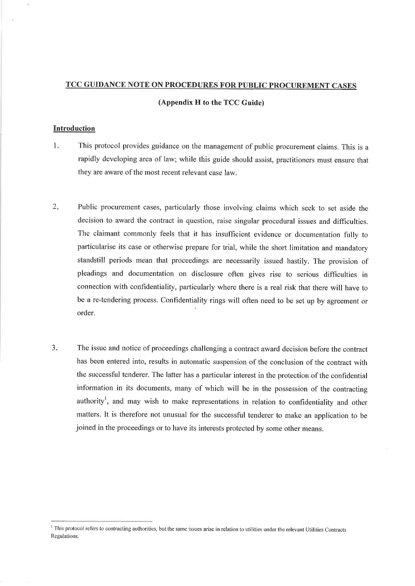# TCC GUIDANCE NOTE ON PROCEDURES FOR PUBLIC PROCUREMENT CASES

# (Appendix H to the TCC Guide)

## Introduction

- $1.$ This protocol provides guidance on the management of public procurement claims. This is <sup>a</sup> rapidly developing area of law; while this guide should assist, practitioners must ensure that they are aware of the most recent relevant case law.
- Public procurement cases, particularly those involving claims which seek to set aside the decision to award the contract in question, raise singular procedural issues and difficulties. The claimant commonly feels that it has insufficient evidence or documentation fully to particularise its case or otherwise prepare for trial, while the short limitation and mandatory standstill periods mean that proceedings are necessarily issued hastily. The provision of pleadings and documentation on disclosure often gives rise to serious difficulties in connection with confidentiality, particularly where there is a real risk that there will have to be a re-tendering process. Confidentiality rings will often need to be set up by agreement or order.  $2.$
- The issue and notice of proceedings challenging a contract award decision before the contract has been entered into, results in automatic suspension of the conclusion of the contract with the successful tenderer. The latter has a particular interest in the protection of the confidential information in its documents, many of which will be in the possession of the contracting authorityl, and may wish to make representations in relation to confidentiality and other matters. It is therefore not unusual for the successful tenderer to make an application to be joined in the proceedings or to have its interests protected by some other means.  $3<sub>i</sub>$

<sup>&</sup>lt;sup>1</sup> This protocol refers to contracting authorities, but the same issues arise in relation to utilities under the relevant Utilities Contracts Regulations.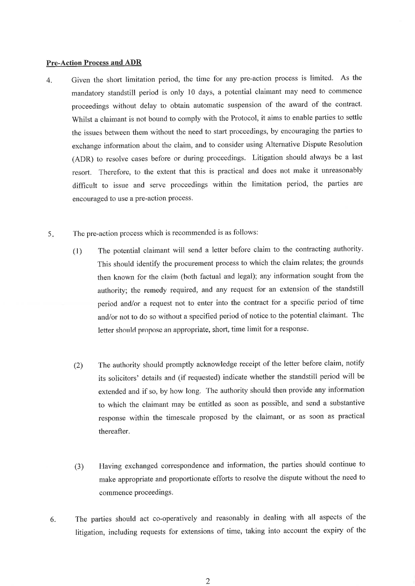#### Pre-Action Process and ADR

- 4. Given the short limitation period, the time for any pre-action process is limited. As the mandatory standstill period is only 10 days, a potential claimant may need to commence proceedings without delay to obtain automatic suspension of the award of the contract. Whilst a claimant is not bound to comply with the Protocol, it aims to enable parties to settle the issues between them without the need to start proceedings, by encouraging the parties to exchange information about the claim, and to consider using Alternative Dispute Resolution (ADR) to resolve cases before or during proceedings. Litigation should always be a last resoft. Therefore, to the extent that this is practical and does not make it unreasonably difficult to issue and serve proceedings within the limitation period, the parties are encouraged to use a pre-action process.
- 5 The pre-action process which is recommended is as follows:
	- (l) The potential clairnant will send a letter before claim to the contracting authority. This should identify the procurement process to which the claim relates; the grounds then known for the claim (both factual and legal); any information sought from the authority; the remedy required, and any request for an extension of the standstill period and/or a request not to enter into the contract for a specific period of time and/or not to do so without a specified period of notice to the potential claimant. The letter should propose an appropriate, short, time limit for a response.
	- (2) The authority should promptly acknowledge receipt of the letter before claim, notiff its solicitors' details and (if requested) indicate whether the standstill period will be extended and if so, by how long. The authority should then provide any information to which the claimant may be entitled as soon as possible, and send a substantive response within the timescale proposed by the claimant, or as soon as practical thereafter.
	- (3) Having exchanged correspondence and information, the parties should continue to make appropriate and proportionate efforts to resolve the dispute without the need to commence proceedings.
- The parties should act co-operatively and reasonably in dealing with all aspects of the litigation, including requests for extensions of time, taking into account the expiry of the 6.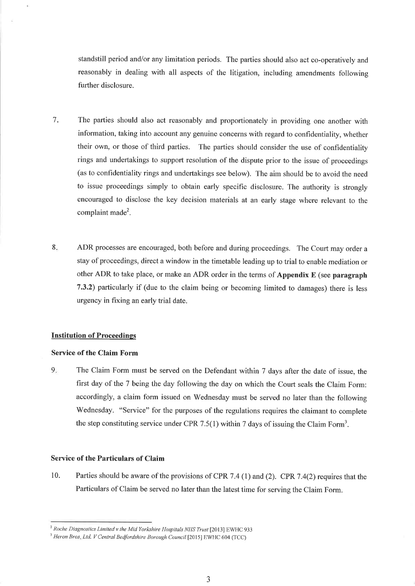standstill period and/or any limitation periods. The parties should also act co-operatively and reasonably in dealing with all aspects of the litigation, including amendments following further disclosure.

- 7 The parties should also act reasonably and proportionately in providing one another with information, taking into account any genuine concerns with regard to confidentiality, whether their own, or those of third parties. The parties should consider the use of confidentiality rings and undertakings to support resolution of the dispute prior to the issue of proceedings (as to confidentiality rings and undertakings see below). The aim should be to avoid the need to issue proceedings simply to obtain early specific disclosure. The authority is strongly encouraged to disclose the key decision materials at an early stage where relevant to the complaint made<sup>2</sup>.
- ADR processes are encouraged, both before and during proceedings. The Court may order <sup>a</sup> stay of proceedings, direct a window in the timetable leading up to trial to enable mediation or other ADR to take place, or make an ADR order in the terms of Appendix E (see paragraph 7.3.2) particularly if (due to the claim being or becoming limited to damages) there is less urgency in fixing an early trial date. 8

#### Institution of Proceedinss

# Service of the Claim Form

The Claim Form must be served on the Defendant within 7 days after the date of issue, the first day of the 7 being the day following the day on which the Court seals the Claim Form: accordingly, a claim form issued on Wednesday must be served no later than the following Wednesday. "Service" for the purposes of the regulations requires the claimant to complete the step constituting service under CPR 7.5(1) within 7 days of issuing the Claim Form<sup>3</sup>.  $9<sub>1</sub>$ 

## Service of the Particulars of Claim

10. Parties should be aware of the provisions of CPR 7.4 (1) and (2). CPR 7.4 (2) requires that the Particulars of Claim be served no later than the latest time for serving the Claim Form.

 $2$  Roche Diagnostics Limited v the Mid Yorkshire Hospitals NHS Trust [2013] EWHC 933

 $3$  Heron Bros, Ltd. V Central Bedfordshire Borough Council [2015] EWHC 604 (TCC)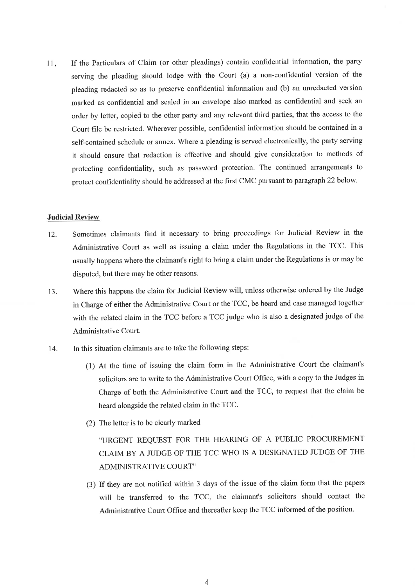11. If the Particulars of Claim (or other pleadings) contain confidential information, the party serving the pleading should lodge with the Court (a) a non-confidential version of the pleading redacted so as to preserve confidential information and (b) an unredacted version rnarked as confidential and sealed in an envelope also marked as confidential and seek an order by letter, copied to the other party and any relevant third parties, that the access to the Court file be restricted. Wherever possible, confidential information should be contained in <sup>a</sup> self-contained schedule or annex. Where a pleading is served electronically, the party serving it should ensure that redaction is effective and should give consideration to methods of protecting confidentiality, such as password protection. The continued arrangements to protect confidentiality should be addressed at the first CMC pursuant to paragraph22 below.

#### Judicial Review

- 12. Sometimes claimants find it necessary to bring proceedings for Judicial Review in the Administrative Court as well as issuing a claim under the Regulations in the TCC. This usually happens where the claimant's right to bring a claim under the Regulations is or may be disputed, but there may be other reasons.
- 13. Where this happens the claim for Judicial Review will, unless otherwise ordered by the Judge in Charge of either the Administrative Court or the TCC, be heard and case managed together with the related claim in the TCC before a TCC judge who is also a designated judge of the Administrative Court.
- 14. In this situation claimants are to take the following steps:
	- (1) At the time of issuing the claim form in the Administrative Court the claimant's solicitors are to write to the Administrative Court Offrce, with a copy to the Judges in Charge of both the Administrative Court and the TCC, to request that the claim be heard alongside the related claim in the TCC.
	- (2) The letter is to be clearly marked

''URGENT REQUEST FOR THE IIEARING OF A PUBLIC PROCUREMENT CLAIM BY A JUDGE OF THE TCC WHO IS A DESIGNATED JUDGE OF THE ADMINISTRATTVE COURT''

(3) If they are not notified within 3 days of the issue of the claim form that the papers will be transferred to the TCC, the claimant's solicitors should contact the Administrative Court Office and thereafter keep the TCC informed of the position.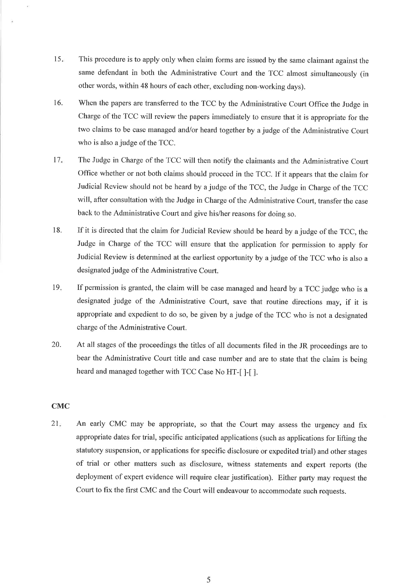- $15<sub>ii</sub>$ This procedure is to apply only when claim forms are issued by the same claimant against the same defendant in both the Administrative Court and the TCC almost simultaneously (in other words, within 48 hours of each other, excluding non-working days).
- 16. When the papers are transferred to the TCC by the Administrative Court Office the Judge in Charge of the TCC will review the papers imrnediately to ensure that it is appropriate for the two claims to be case managed and/or heard together by a judge of the Administrative Court who is also a judge of the TCC.
- $17.$ The Judge in Charge of the TCC will then notify the claimants and the Administrative Court Office whether or not both claims should proceed in the TCC. If it appears that the claim for Judicial Review should not be heard by a judge of the TCC, the Judge in Charge of the TCC will, after consultation with the Judge in Charge of the Administrative Court, transfer the case back to the Administrative Court and give his/her reasons for doing so.
- 18. If it is directed that the claim for Judicial Review should be heard by a judge of the TCC, the Judge in Charge of the TCC will ensure that the application for permission to apply for Judicial Review is determined at the earliest opportunity by a judge of the TCC who is also <sup>a</sup> designated judge of the Administrative Court.
- 19. If permission is granted, the claim will be case managed and heard by a TCC judge who is <sup>a</sup> designated judge of the Administrative Court, save that routine directions may, if it is appropriate and expedient to do so, be given by a judge of the TCC who is not a designated charge of the Administrative Court.
- 20. At all stages of the proceedings the titles of all documents filed in the JR proceedings are to bear the Administrative Court title and case number and are to state that the claim is being heard and managed together with TCC Case No HT-[]-[].

# **CMC**

 $21.$ An early CMC may be appropriate, so that the Court may assess the urgency and fix appropriate dates for trial, specific anticipated applications (such as applications for lifting the statutory suspension, or applications for specifîc disclosure or expedited trial) and other stages of trial or other matters such as disclosure, witness statements and expert reports (the deployment of expert evidence will require clear justification). Either party may request the Court to fix the first CMC and the Court will endeavour to accommodate such requests.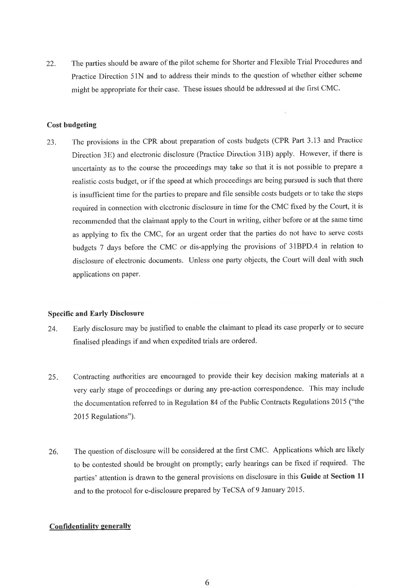22. The parties should be aware of the pilot scheme for Shorter and Flexible Trial Procedures and Practice Direction 51N and to address their minds to the question of whether either scheme might be appropriate for their case. These issues should be addressed at the first CMC.

# Cost budgeting

23. The provisions in the CPR about preparation of costs budgets (CPR Part 3.13 and Praotice Direction 3E) and electronic disclosure (Practice Direction 31B) apply. However, if there is unceftainty as to the course the proceedings may take so that it is not possible to prepare <sup>a</sup> realistic costs budget, or if the speed at which proceedings are being pursued is such that there is insufficient time for the parties to prepare and file sensible costs budgets or to take the steps required in connection with clcctronic disclosure in time for the CMC fixed by the Court, it is recommended that the claimant apply to the Court in writing, either before or at the sarne time as applying to fix the CMC, for an urgent order that the parties do not have to serve costs budgets 7 days before the CMC or dis-applying the provisions of 3IBPD.4 in relation to disclosure of electronic documents. Unless one party objects, the Court will deal with such applications on paper.

## Specific and Early Disclosure

- 24. Early disclosure may be justified to enable the claimant to plead its case properly or to secure finalised pleadings if and when expedited trials are ordered.
- 25. Contracting authorities are encouraged to provide their key decision making materials at a very early stage of proceedings or during any pre-action correspondence. This may include the documentation refered to in Regulation 84 of the Public Contracts Regulations 2015 ("the 2015 Regulations").
- 26. The question of disclosure will be considered at the first CMC. Applications which are likely to be contested should be brought on promptly; early hearings can be fixed if required. The parties' attention is drawn to the general provisions on disclosure in this Guide at Section 11 and to the protocol for e-disclosure prepared by TeCSA of 9 January 2015.

## Confidentiality generally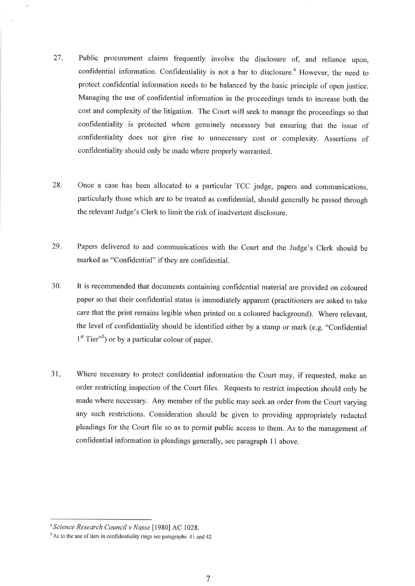- 27. Public procurement claims frequently involve the disclosure of, and reliance upon, confidential information. Confidentiality is not a bar to disclosure.<sup>4</sup> However, the need to protect confidential information needs to be balanced by the basic principle of open justice. Managing the use of confidential information in the proceedings tends to increase both the cost and complexity of the litigation. The Court will seek to manage the proceedings so that confidentiality is protected where genuinely necessary but ensuring that the issue of confidentiality does not give rise to unnecessary cost or complexity. Assertions of confidentiality should only be made where properly warranted.
- 28. Once a case has been allocated to a particular TCC judge, papers and communications, particularly those which are to be treated as confidential, should generally be passed through the relevant Judge's Clerk to limit the risk of inadvertent disclosure.
- 29 Papers delivered to and communications with the Court and the Judge's Clerk should be marked as "Confidential" if they are confidential.
- 30. It is recommended that documents containing confidential material are provided on coloured paper so that their confidential status is immediately apparent (practitioners are asked to take care that the print remains legible when printed on a coloured background). Where relevant, the level of confidentiality should be identified either by a stamp or mark (e.g. "Confidential  $1<sup>st</sup>$  Tier"<sup>5</sup>) or by a particular colour of paper.
- 3l Where necessary to protect confidential information the Court may, if requested, make an order restricting inspection of the Court files. Requests to restrict inspection should only be made where necessary. Any member of the public may seek an order from the Court varying any such restrictions. Consideration should be given to providing appropriately redacted pleadings for the Court file so as to permit public access to them. As to the management of confidential information in pleadings generally, see paragraph l1 above.

<sup>&</sup>lt;sup>4</sup> Science Research Council v Nasse [1980] AC 1028.

 $<sup>5</sup>$  As to the use of tiers in confidentiality rings see paragraphs 41 and 42</sup>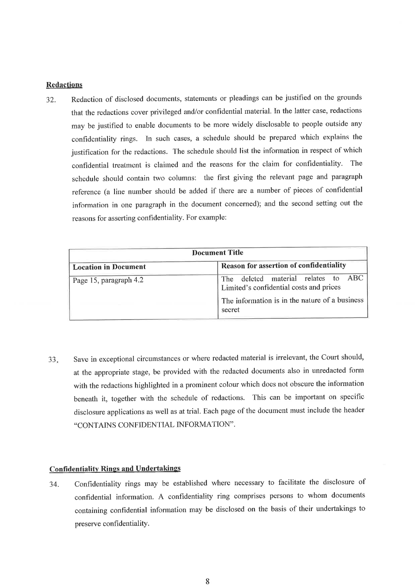# **Redactions**

32. Redaction of disclosed documents, statements or pleadings can be justified on the grounds that the redactions cover privileged and/or confidential material. In the latter case, redactions may be justified to enable documents to be more widely disclosable to people outside any confidcntiality rings. In suoh cases, a schedule should be preparecl which explains the justification for the redactions. The schedule should list the information in respect of which confidential treatment is claimed and the reasons for the claim for confidentiality. The schedule should contain two columns: the first giving the relevant page and paragraph reference (a line number should be added if there are a number of pieces of confidential informafion in one paragraph in the document concerned); and the second setting out the reasons for asserting confidentiality. For example:

| <b>Document Title</b>       |                                                                                                                                              |
|-----------------------------|----------------------------------------------------------------------------------------------------------------------------------------------|
| <b>Location in Document</b> | <b>Reason for assertion of confidentiality</b>                                                                                               |
| Page 15, paragraph 4.2      | The deleted material relates to ABC<br>Limited's confidential costs and prices<br>The information is in the nature of a business  <br>secret |

33. Save in exceptional circumstances or where redacted material is irrelevant, the Court should, at the appropriate stage, be provided with the redacted documents also in unredacted form with the redactions highlighted in a prominent colour which does not obscure the information beneath it, together with the schedule of redactions. This can be important on specific disclosure applications as well as at trial. Each page of the document must include the header ..CONTAINS CONFIDENTIAL INFORMATION".

# Confidentiality Rings and Undertakings

34. Confidentiality rings may be established where necessary to facilitate the disclosure of confidential information. A confidentiality ring comprises persons to whom documents containing confidential information may be disclosed on the basis of their undertakings to preserve confidentiality.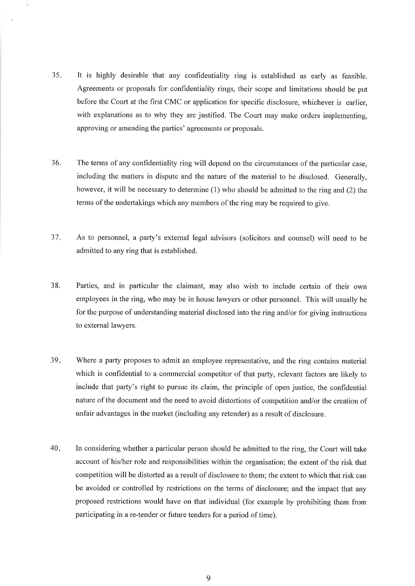- 35 It is highly desirable that any confidentiality ring is established as early as feasible. Agreements or proposals for confidentiality rings, their scope and limitations should be put before the Court at the first CMC or application for specific disclosure, whichever is earlier, with explanations as to why they are justified. The Court may make orders implementing, approving or amending the parties' agreements or proposals.
- 36. The terms of any confidentiality ring will depend on the circumstances of the particular case, including the matters in dispute and the nature of the material to be disclosed. Generally, however, it will be necessary to determine (1) who should be admitted to the ring and (2) the terms of the undertakings which any members of the ring may be required to give.
- $37.$ As to personnel, a party's external legal advisors (solicitors and counsel) will need to be admitted to any ring that is established.
- 38. Parties, and in particular the claimant, may also wish to include certain of their own ernployees in the ring, who may be in house lawyers or other personnel. This will usually be for the purpose of understanding material disclosed into the ring and/or for giving instructions to external lawyers.
- 39 Where a party proposes to admit an employee representative, and the ring contains material which is confidential to a commercial competitor of that party, relevant factors are likely to include that party's right to pursue its claim, the principle of open justice, the confidential nature of the document and the need to avoid distortions of competition and/or the creation of unfair advantages in the market (including any retender) as a result of disclosure.
- 40 In considering whether a particular person should be admitted to the ring, the Court will take account of his/her role and responsibilities within the organisation; the extent of the risk that competition will be distorted as a result of disclosure to them; the extent to which that risk can be avoided or controlled by restrictions on the terms of disclosure; and the impact that any proposed restrictions would have on that individual (for example by prohibiting them from participating in a re-tender or future tenders for a period of time).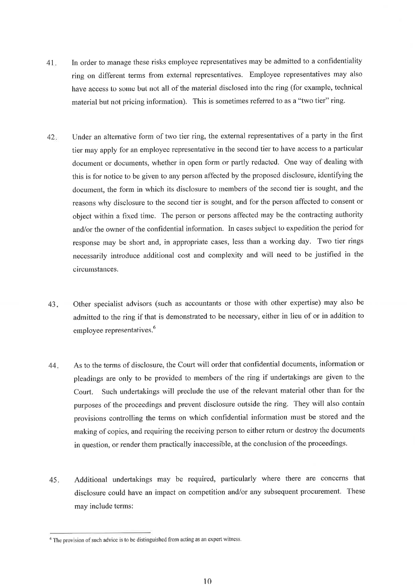- $41.$ In order to manage these risks employee representatives may be admitted to a confidentiality ring on different terms from external representatives. Ernployee representatives may also have access to some but not all of the material disclosed into the ring (for example, technical material but not pricing information). This is sometimes refered to as a "two tier" ring.
- 42 Under an alternative form of two tier ring, the external representatives of a party in the first tier may apply for an employee representative in the second tier to have access to a particular document or documents, whether in open fotm or partly redacted. One way of dealing with this is for notice to be given to any person affected by the proposed disclosure, identifying the document, the form in which its disclosure to members of the second tier is sought, and the reasons why disclosure to the second tier is sought, and for the person affected to consent or object within a fixed time. The person or persons affected may be the contracting authority and/or the owner of the confidential information. In cases subject to expedition the period for response may be short and, in appropriate cases, less than a working day. Two tier rings necessarily introduce additional cost and complexity and will need to be justified in the circumstances.
- 43 Other specialist advisors (such as accountants or those with other expertise) may also be admitted to the ring if that is demonstrated to be necessary, either in lieu of or in addition to employee representatives.<sup>6</sup>
- 44 As to the terms of disclosure, the Court will order that confidential documents, information or pleadings are only to be provided to members of the ring if undertakings are given to the Court. Such undertakings will preclude the use of the relevant material other than for the purposes of the proceedings and prevent disclosure outside the ring. They will also contain provisions controlling the terms on which confidential information must be stored and the making of copies, and requiring the receiving person to either return or destroy the documents in question, or render them practically inaccessible, at the conclusion of the proceedings.
- 45 Additional undertakings may be required, particularly where there are concerns that disclosure could have an impact on competition and/or any subsequent procurement. These may include terms:

 $6$  The provision of such advice is to be distinguished from acting as an expert witness.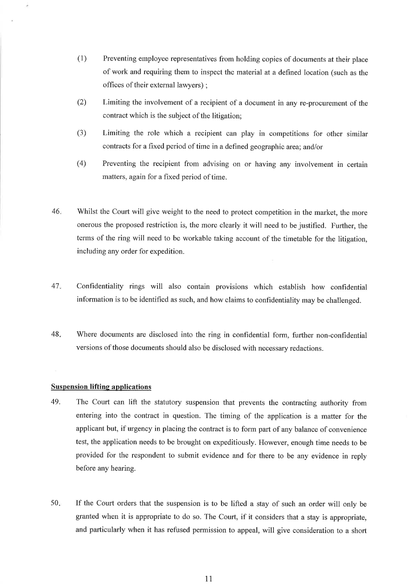- (l) Preventing ernployee representatives from holding copies of documents at their place of work and requiring them to inspect the material at a defined location (such as the offices of their external lawyers) ;
- Limiting the involvement of a recipient of a document in any re-procurement of the contract which is the subject of the litigation; (2)
- Limiting the role which a recipient can play in competitions for other similar contracts for a fixed period of time in a defined geographic area; and/or (3)
- Preventing the recipient from advising on or having any involvement in certain matters, again for a fixed period of time. (4)
- 46. Whilst the Court will give weight to the need to protect competition in the market, the more onerous the proposed restriction is, the more clearly it will need to be justified. Further, the terms of the ring will need to be workable taking account of the timetable for the litigation, including any order for expedition.
- <sup>47</sup> Confidentiality rings will also contain provisions which establish how confidential information is to be identified as such, and how claims to confidentiality may be challenged.
- 48. Where documents are disclosed into the ring in confidential form, further non-confidential versions of those documents should also be disclosed with necessary redactions.

### **Suspension lifting applications**

- 49. The Court can lift the statutory suspension that prevents the contracting authority from entering into the contract in question. The timing of the application is a matter for the applicant but, if urgency in placing the contract is to form part of any balance of convenience test, the application needs to be brought on expeditiously. However, enough time needs to be provided for the respondent to submit evidence and for there to be any evidence in reply before any hearing.
- If the Court orders that the suspension is to be lifted a stay of such an order will only be granted when it is appropriate to do so. The Court, if it considers that a stay is appropriate, and particularly when it has refused permission to appeal, will give consideration to a short 50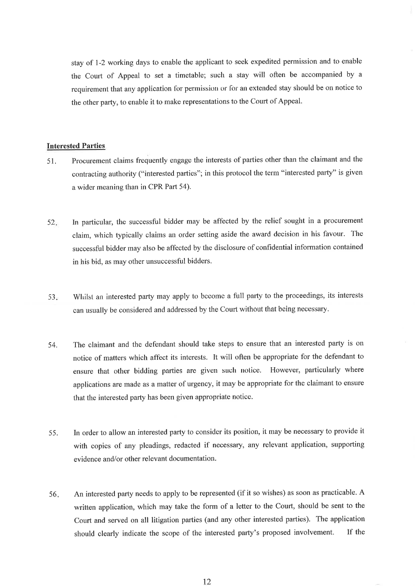stay of 1-2 working days to enable the applicant to seek expedited permission and to enable the Court of Appeal to set a timetable; such a stay will often be accompanied by <sup>a</sup> requirement that any application for permission or for an extended stay should be on notice to the other party, to enable it to make representations to the court of Appeal.

#### Interested Parties

- 51. Procurement claims frequently engage the interests of parties other than the claimant and the contracting authority ("interested parties"; in this protocol the term "interested party" is given a wider meaning than in CPR Part 54).
- <sup>52</sup> In particular, the successful bidder may be affected by the relief sought in a procurement claim, which typically claims an order setting aside the award decision in his favour. The successful bidder may also be affected by the disclosure of confidential information contained in his bid, as may other unsuccessful bidders.
- 53. Whilst an interested party may apply to become a full party to the proceedings, its interests can usually be considered and addressed by the Court without that being necessary.
- 54. The claimant and the defendant should take steps to ensure that an interested party is on notice of matters which affect its interests. It will often be appropriate for the defendant to ensure that other bidding parties are given such notice. However, particularly where applications are made as a matter of urgency, it may be appropriate for the claimant to ensure that the interested party has been given appropriate notice.
- 55. In order to allow an interested party to consider its position, it may be necessary to provide it with copies of any pleadings, redacted if necessary, any relevant application, supporting evidence and/or other relevant documentation.
- An interested party needs to apply to be represented (if it so wishes) as soon as practicable. A written application, which may take the form of a letter to the Court, should be sent to the Court and served on all litigation parties (and any other interested parties). The application should clearly indicate the scope of the interested party's proposed involvement. If the 56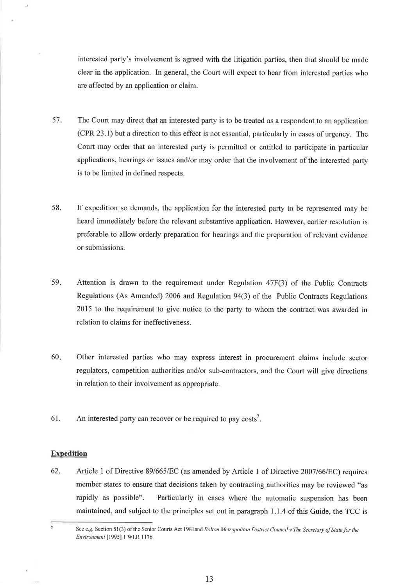interested party's involvement is agreed with the litigation parties, then that should be made clear in the application. In general, the Court will expect to hear from interested parties who are affected by an application or claim.

- 51 The Court may direct that an interested party is to be treated as a respondent to an application (CPR 23.1) but a direction to this effect is not essential, particularly in cases of urgency. The Court may order that an interested party is perrnitted or entitled to participate in particular applications, hearings or issues and/or may order that the involvement of the interested party is to be limited in defined respects.
- 58. If expedition so demands, the application for the interested party to be represented may be heard immediately before the relevant substantive application. However, earlier resolution is preferable to allow orderly preparation for hearings and the preparation of relevant evidence or submissions.
- 59 Attention is drawn to the requirement under Regulation 47F(3) of the Public Contracts Regulations (As Amended) 2006 and Regulation 94(3) of the Public Contracts Regulations 2015 to the requirement to give notice to the party to whom the contract was awarded in relation to claims for ineffectiveness.
- 60 Other interested parties who may express interest in procurement claims include sector regulators, competition authorities and/or sub-contractors, and the Court will give directions in relation to their involvement as appropriate.
- 61. An interested party can recover or be required to pay costs<sup>7</sup>.

### **Expedition**

- Article 1 of Directive 89/665/EC (as amended by Article 1 of Directive 2007/66/EC) requires member states to ensure that decisions taken by contracting authorities may be reviewed "as rapidly as possible". Particularly in cases where the automatic suspension has been maintained, and subject to the principles set out in paragraph 1.1.4 of this Guide, the TCC is 62.
- 

See e.g. Section 51(3) of the Senior Courts Act 1981 and Bolton Metropolitan District Council v The Secretary of State for the Environment [1995] 1 WLR 1176.